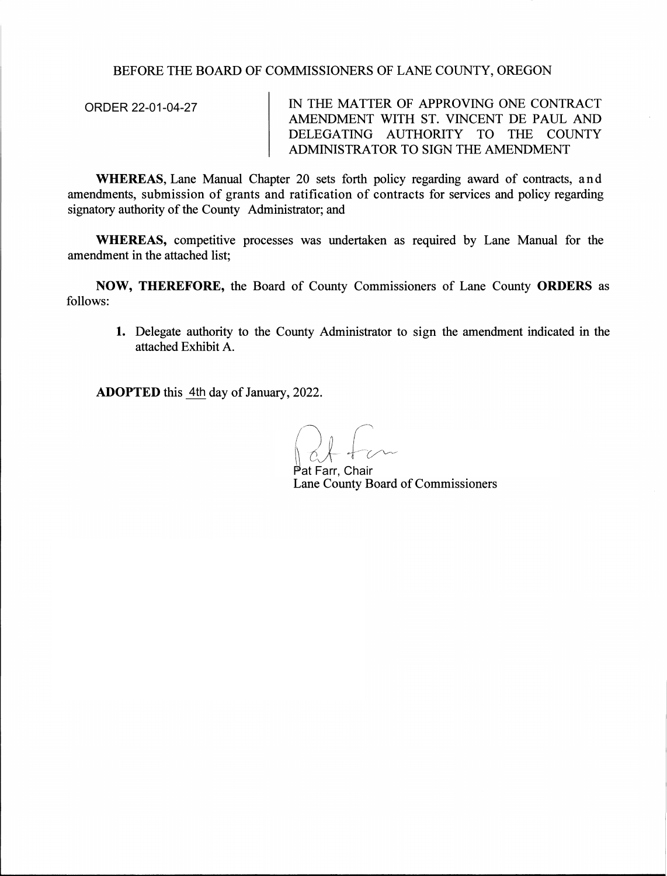## BEFORE THE BOARD OF COMMISSIONERS OF LANE COUNTY, OREGON

IN THE MATTER OF APPROVING ONE CONTRACT AMENDMENT WITH ST. VINCENT DE PAUL AND DELEGATING AUTHORITY TO THE COUNTY ADMINISTRATOR TO SIGN THE AMENDMENT ORDER 22-01-04-27

**WHEREAS,** Lane Manual Chapter 20 sets forth policy regarding award of contracts, and amendments, submission of grants and ratification of contracts for services and policy regarding signatory authority of the County Administrator; and

**WHEREAS,** competitive processes was undertaken as required by Lane Manual for the amendment in the attached list;

**NOW, THEREFORE,** the Board of County Commissioners of Lane County **ORDERS** as follows:

**1.** Delegate authority to the County Administrator to sign the amendment indicated in the attached Exhibit A.

ADOPTED this <u>4th</u> day of January, 2022.

Lane County Board of Commissioners Farr, Chair